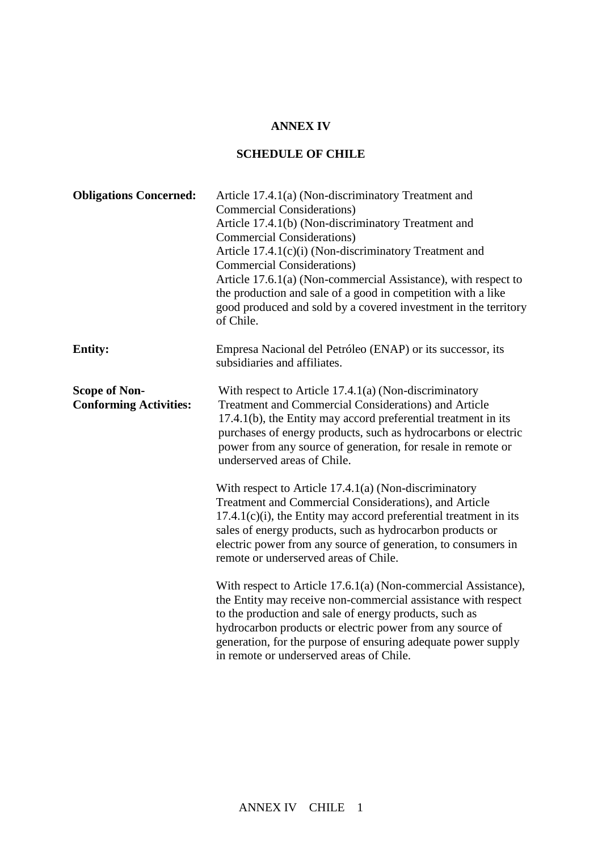## **ANNEX IV**

## **SCHEDULE OF CHILE**

| <b>Obligations Concerned:</b>                         | Article 17.4.1(a) (Non-discriminatory Treatment and<br><b>Commercial Considerations</b> )<br>Article 17.4.1(b) (Non-discriminatory Treatment and<br><b>Commercial Considerations</b> )<br>Article 17.4.1(c)(i) (Non-discriminatory Treatment and<br><b>Commercial Considerations</b> )<br>Article 17.6.1(a) (Non-commercial Assistance), with respect to<br>the production and sale of a good in competition with a like<br>good produced and sold by a covered investment in the territory<br>of Chile. |
|-------------------------------------------------------|----------------------------------------------------------------------------------------------------------------------------------------------------------------------------------------------------------------------------------------------------------------------------------------------------------------------------------------------------------------------------------------------------------------------------------------------------------------------------------------------------------|
| <b>Entity:</b>                                        | Empresa Nacional del Petróleo (ENAP) or its successor, its<br>subsidiaries and affiliates.                                                                                                                                                                                                                                                                                                                                                                                                               |
| <b>Scope of Non-</b><br><b>Conforming Activities:</b> | With respect to Article 17.4.1(a) (Non-discriminatory<br><b>Treatment and Commercial Considerations) and Article</b><br>17.4.1(b), the Entity may accord preferential treatment in its<br>purchases of energy products, such as hydrocarbons or electric<br>power from any source of generation, for resale in remote or<br>underserved areas of Chile.                                                                                                                                                  |
|                                                       | With respect to Article $17.4.1(a)$ (Non-discriminatory<br>Treatment and Commercial Considerations), and Article<br>$17.4.1(c)(i)$ , the Entity may accord preferential treatment in its<br>sales of energy products, such as hydrocarbon products or<br>electric power from any source of generation, to consumers in<br>remote or underserved areas of Chile.                                                                                                                                          |
|                                                       | With respect to Article 17.6.1(a) (Non-commercial Assistance),<br>the Entity may receive non-commercial assistance with respect<br>to the production and sale of energy products, such as<br>hydrocarbon products or electric power from any source of<br>generation, for the purpose of ensuring adequate power supply<br>in remote or underserved areas of Chile.                                                                                                                                      |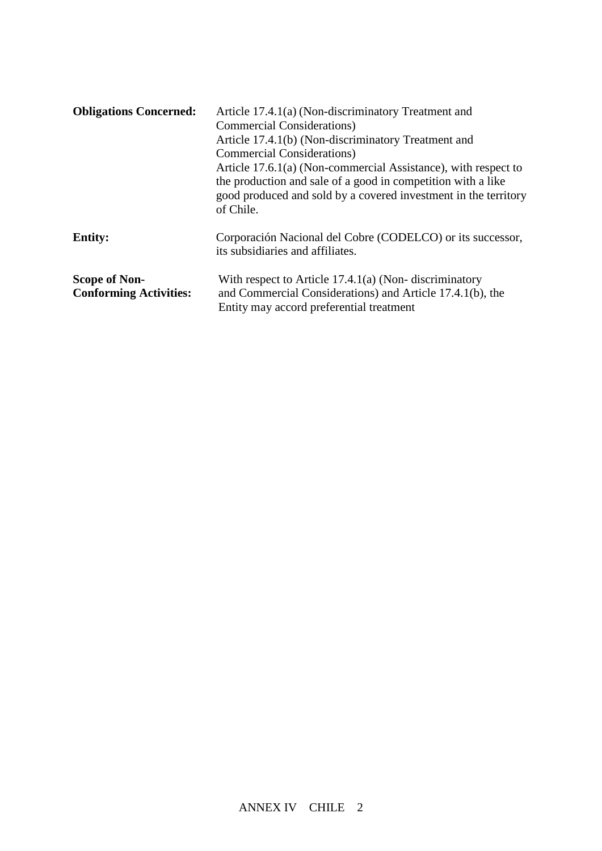| <b>Obligations Concerned:</b>                         | Article 17.4.1(a) (Non-discriminatory Treatment and<br><b>Commercial Considerations</b> )<br>Article 17.4.1(b) (Non-discriminatory Treatment and<br><b>Commercial Considerations</b> )<br>Article 17.6.1(a) (Non-commercial Assistance), with respect to<br>the production and sale of a good in competition with a like<br>good produced and sold by a covered investment in the territory<br>of Chile. |
|-------------------------------------------------------|----------------------------------------------------------------------------------------------------------------------------------------------------------------------------------------------------------------------------------------------------------------------------------------------------------------------------------------------------------------------------------------------------------|
| <b>Entity:</b>                                        | Corporación Nacional del Cobre (CODELCO) or its successor,<br>its subsidiaries and affiliates.                                                                                                                                                                                                                                                                                                           |
| <b>Scope of Non-</b><br><b>Conforming Activities:</b> | With respect to Article $17.4.1(a)$ (Non-discriminatory<br>and Commercial Considerations) and Article 17.4.1(b), the<br>Entity may accord preferential treatment                                                                                                                                                                                                                                         |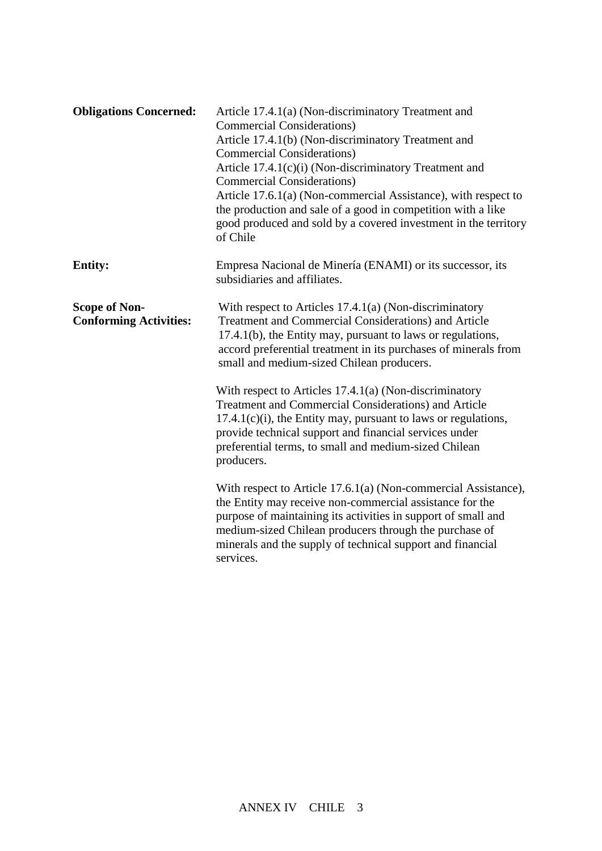| <b>Obligations Concerned:</b>                         | Article 17.4.1(a) (Non-discriminatory Treatment and<br><b>Commercial Considerations</b> )<br>Article 17.4.1(b) (Non-discriminatory Treatment and<br><b>Commercial Considerations</b> )<br>Article 17.4.1(c)(i) (Non-discriminatory Treatment and<br><b>Commercial Considerations)</b><br>Article 17.6.1(a) (Non-commercial Assistance), with respect to<br>the production and sale of a good in competition with a like<br>good produced and sold by a covered investment in the territory<br>of Chile |
|-------------------------------------------------------|--------------------------------------------------------------------------------------------------------------------------------------------------------------------------------------------------------------------------------------------------------------------------------------------------------------------------------------------------------------------------------------------------------------------------------------------------------------------------------------------------------|
| <b>Entity:</b>                                        | Empresa Nacional de Minería (ENAMI) or its successor, its<br>subsidiaries and affiliates.                                                                                                                                                                                                                                                                                                                                                                                                              |
| <b>Scope of Non-</b><br><b>Conforming Activities:</b> | With respect to Articles $17.4.1(a)$ (Non-discriminatory<br><b>Treatment and Commercial Considerations) and Article</b><br>17.4.1(b), the Entity may, pursuant to laws or regulations,<br>accord preferential treatment in its purchases of minerals from<br>small and medium-sized Chilean producers.                                                                                                                                                                                                 |
|                                                       | With respect to Articles $17.4.1(a)$ (Non-discriminatory<br>Treatment and Commercial Considerations) and Article<br>$17.4.1(c)(i)$ , the Entity may, pursuant to laws or regulations,<br>provide technical support and financial services under<br>preferential terms, to small and medium-sized Chilean<br>producers.                                                                                                                                                                                 |
|                                                       | With respect to Article 17.6.1(a) (Non-commercial Assistance),<br>the Entity may receive non-commercial assistance for the<br>purpose of maintaining its activities in support of small and<br>medium-sized Chilean producers through the purchase of<br>minerals and the supply of technical support and financial<br>services.                                                                                                                                                                       |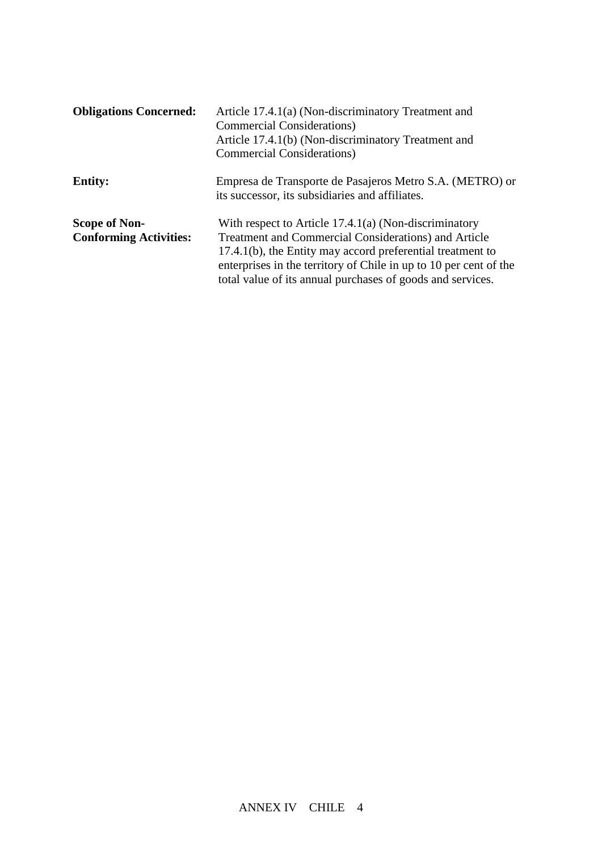| <b>Obligations Concerned:</b> | Article 17.4.1(a) (Non-discriminatory Treatment and                                                         |
|-------------------------------|-------------------------------------------------------------------------------------------------------------|
|                               | <b>Commercial Considerations</b> )                                                                          |
|                               | Article 17.4.1(b) (Non-discriminatory Treatment and                                                         |
|                               | <b>Commercial Considerations</b> )                                                                          |
| <b>Entity:</b>                | Empresa de Transporte de Pasajeros Metro S.A. (METRO) or<br>its successor, its subsidiaries and affiliates. |
| <b>Scope of Non-</b>          | With respect to Article $17.4.1(a)$ (Non-discriminatory                                                     |
| <b>Conforming Activities:</b> | <b>Treatment and Commercial Considerations) and Article</b>                                                 |
|                               | 17.4.1(b), the Entity may accord preferential treatment to                                                  |
|                               | enterprises in the territory of Chile in up to 10 per cent of the                                           |
|                               | total value of its annual purchases of goods and services.                                                  |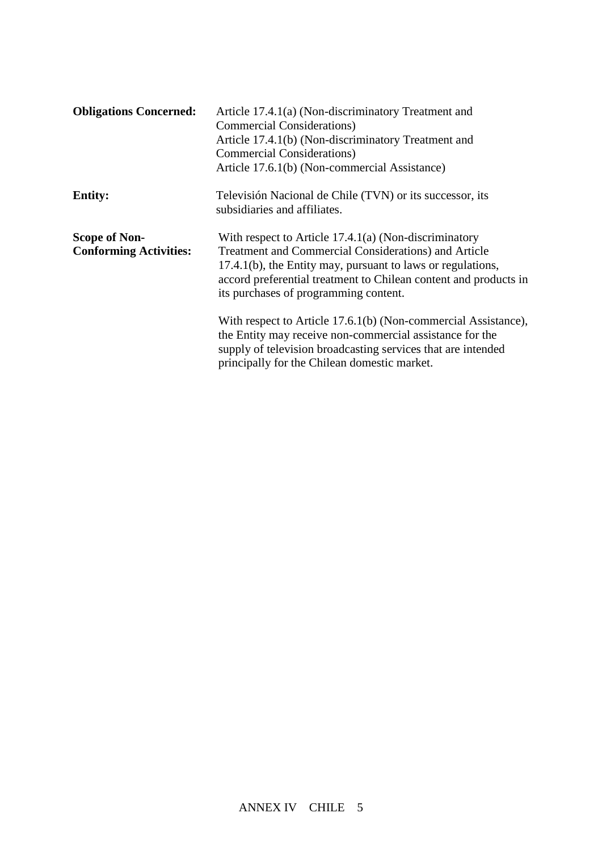| <b>Obligations Concerned:</b>                         | Article 17.4.1(a) (Non-discriminatory Treatment and<br><b>Commercial Considerations</b> )<br>Article 17.4.1(b) (Non-discriminatory Treatment and<br><b>Commercial Considerations</b> )<br>Article 17.6.1(b) (Non-commercial Assistance)                                                     |
|-------------------------------------------------------|---------------------------------------------------------------------------------------------------------------------------------------------------------------------------------------------------------------------------------------------------------------------------------------------|
| <b>Entity:</b>                                        | Televisión Nacional de Chile (TVN) or its successor, its<br>subsidiaries and affiliates.                                                                                                                                                                                                    |
| <b>Scope of Non-</b><br><b>Conforming Activities:</b> | With respect to Article $17.4.1(a)$ (Non-discriminatory<br>Treatment and Commercial Considerations) and Article<br>17.4.1(b), the Entity may, pursuant to laws or regulations,<br>accord preferential treatment to Chilean content and products in<br>its purchases of programming content. |
|                                                       | With respect to Article 17.6.1(b) (Non-commercial Assistance),<br>the Entity may receive non-commercial assistance for the<br>supply of television broadcasting services that are intended<br>principally for the Chilean domestic market.                                                  |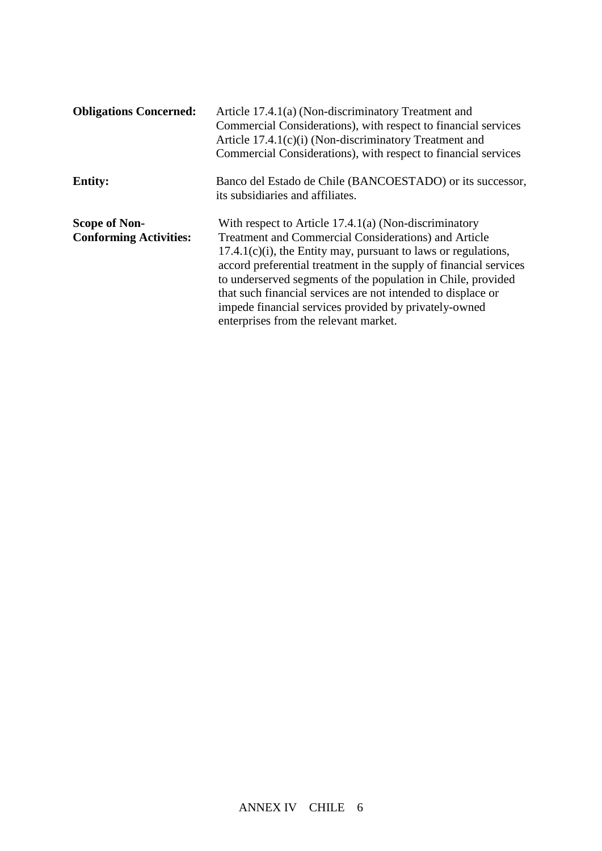| <b>Obligations Concerned:</b>                         | Article 17.4.1(a) (Non-discriminatory Treatment and<br>Commercial Considerations), with respect to financial services<br>Article 17.4.1(c)(i) (Non-discriminatory Treatment and<br>Commercial Considerations), with respect to financial services                                                                                                                                                                                                                                                  |
|-------------------------------------------------------|----------------------------------------------------------------------------------------------------------------------------------------------------------------------------------------------------------------------------------------------------------------------------------------------------------------------------------------------------------------------------------------------------------------------------------------------------------------------------------------------------|
| <b>Entity:</b>                                        | Banco del Estado de Chile (BANCOESTADO) or its successor,<br>its subsidiaries and affiliates.                                                                                                                                                                                                                                                                                                                                                                                                      |
| <b>Scope of Non-</b><br><b>Conforming Activities:</b> | With respect to Article $17.4.1(a)$ (Non-discriminatory<br><b>Treatment and Commercial Considerations) and Article</b><br>$17.4.1(c)(i)$ , the Entity may, pursuant to laws or regulations,<br>accord preferential treatment in the supply of financial services<br>to underserved segments of the population in Chile, provided<br>that such financial services are not intended to displace or<br>impede financial services provided by privately-owned<br>enterprises from the relevant market. |